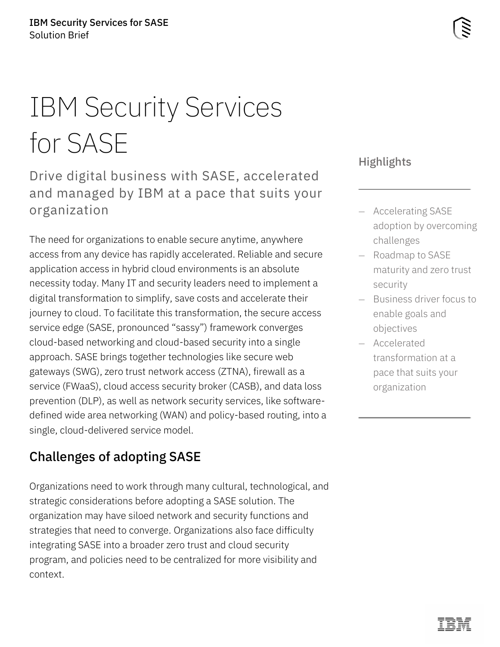# IBM Security Services for SASE

Drive digital business with SASE, accelerated and managed by IBM at a pace that suits your organization

The need for organizations to enable secure anytime, anywhere access from any device has rapidly accelerated. Reliable and secure application access in hybrid cloud environments is an absolute necessity today. Many IT and security leaders need to implement a digital transformation to simplify, save costs and accelerate their journey to cloud. To facilitate this transformation, the secure access service edge (SASE, pronounced "sassy") framework converges cloud-based networking and cloud-based security into a single approach. SASE brings together technologies like secure web gateways (SWG), zero trust network access (ZTNA), firewall as a service (FWaaS), cloud access security broker (CASB), and data loss prevention (DLP), as well as network security services, like softwaredefined wide area networking (WAN) and policy-based routing, into a single, cloud-delivered service model.

# Challenges of adopting SASE

Organizations need to work through many cultural, technological, and strategic considerations before adopting a SASE solution. The organization may have siloed network and security functions and strategies that need to converge. Organizations also face difficulty integrating SASE into a broader zero trust and cloud security program, and policies need to be centralized for more visibility and context.

## **Highlights**

- Accelerating SASE adoption by overcoming challenges
- Roadmap to SASE maturity and zero trust security
- Business driver focus to enable goals and objectives
- Accelerated transformation at a pace that suits your organization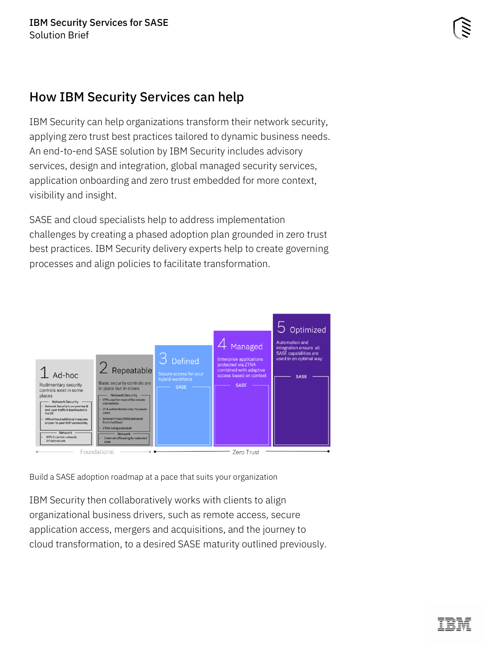# How IBM Security Services can help

IBM Security can help organizations transform their network security, applying zero trust best practices tailored to dynamic business needs. An end-to-end SASE solution by IBM Security includes advisory services, design and integration, global managed security services, application onboarding and zero trust embedded for more context, visibility and insight.

SASE and cloud specialists help to address implementation challenges by creating a phased adoption plan grounded in zero trust best practices. IBM Security delivery experts help to create governing processes and align policies to facilitate transformation.



Build a SASE adoption roadmap at a pace that suits your organization

IBM Security then collaboratively works with clients to align organizational business drivers, such as remote access, secure application access, mergers and acquisitions, and the journey to cloud transformation, to a desired SASE maturity outlined previously.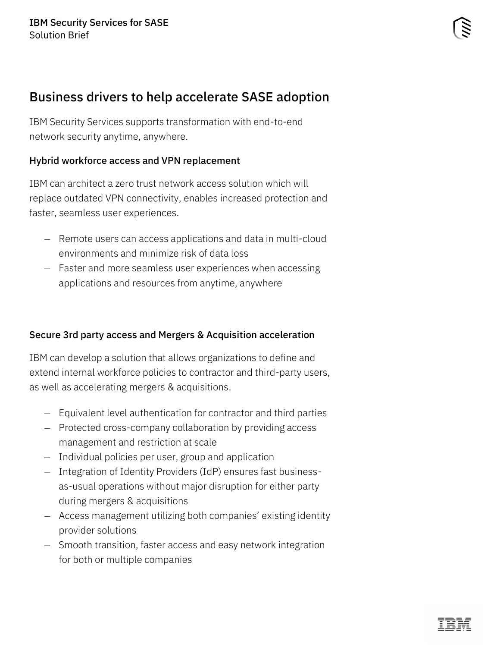# Business drivers to help accelerate SASE adoption

IBM Security Services supports transformation with end-to-end network security anytime, anywhere.

## Hybrid workforce access and VPN replacement

IBM can architect a zero trust network access solution which will replace outdated VPN connectivity, enables increased protection and faster, seamless user experiences.

- Remote users can access applications and data in multi-cloud environments and minimize risk of data loss
- Faster and more seamless user experiences when accessing applications and resources from anytime, anywhere

## Secure 3rd party access and Mergers & Acquisition acceleration

IBM can develop a solution that allows organizations to define and extend internal workforce policies to contractor and third-party users, as well as accelerating mergers & acquisitions.

- Equivalent level authentication for contractor and third parties
- Protected cross-company collaboration by providing access management and restriction at scale
- Individual policies per user, group and application
- Integration of Identity Providers (IdP) ensures fast businessas-usual operations without major disruption for either party during mergers & acquisitions
- Access management utilizing both companies' existing identity provider solutions
- Smooth transition, faster access and easy network integration for both or multiple companies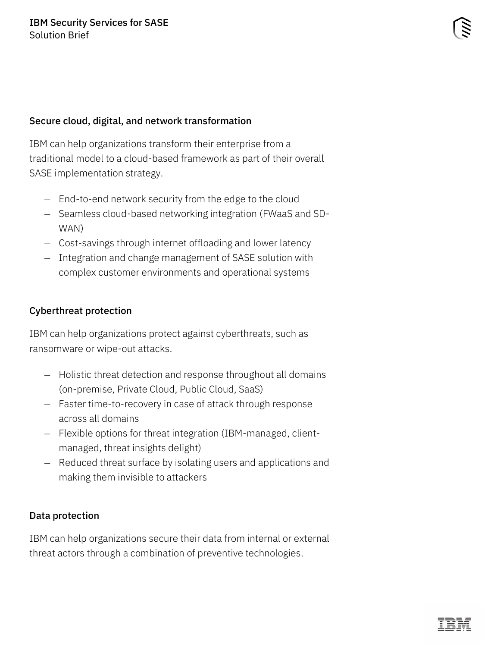#### Secure cloud, digital, and network transformation

IBM can help organizations transform their enterprise from a traditional model to a cloud-based framework as part of their overall SASE implementation strategy.

- End-to-end network security from the edge to the cloud
- Seamless cloud-based networking integration (FWaaS and SD-WAN)
- Cost-savings through internet offloading and lower latency
- Integration and change management of SASE solution with complex customer environments and operational systems

#### Cyberthreat protection

IBM can help organizations protect against cyberthreats, such as ransomware or wipe-out attacks.

- Holistic threat detection and response throughout all domains (on-premise, Private Cloud, Public Cloud, SaaS)
- Faster time-to-recovery in case of attack through response across all domains
- Flexible options for threat integration (IBM-managed, clientmanaged, threat insights delight)
- Reduced threat surface by isolating users and applications and making them invisible to attackers

#### Data protection

IBM can help organizations secure their data from internal or external threat actors through a combination of preventive technologies.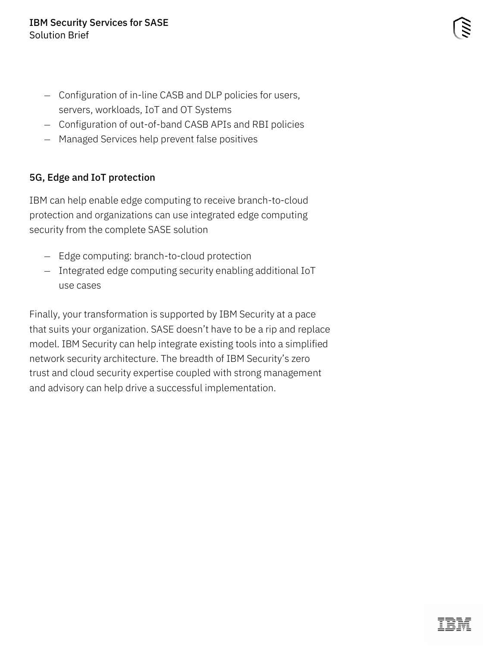- Configuration of in-line CASB and DLP policies for users, servers, workloads, IoT and OT Systems
- Configuration of out-of-band CASB APIs and RBI policies
- Managed Services help prevent false positives

## 5G, Edge and IoT protection

IBM can help enable edge computing to receive branch-to-cloud protection and organizations can use integrated edge computing security from the complete SASE solution

- Edge computing: branch-to-cloud protection
- Integrated edge computing security enabling additional IoT use cases

Finally, your transformation is supported by IBM Security at a pace that suits your organization. SASE doesn't have to be a rip and replace model. IBM Security can help integrate existing tools into a simplified network security architecture. The breadth of IBM Security's zero trust and cloud security expertise coupled with strong management and advisory can help drive a successful implementation.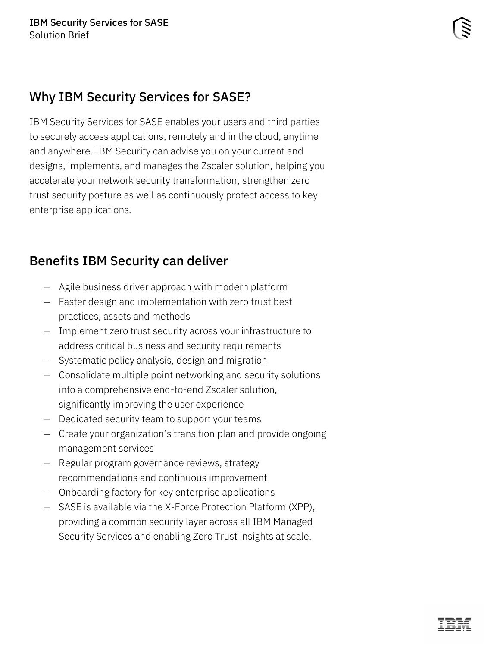# Why IBM Security Services for SASE?

IBM Security Services for SASE enables your users and third parties to securely access applications, remotely and in the cloud, anytime and anywhere. IBM Security can advise you on your current and designs, implements, and manages the Zscaler solution, helping you accelerate your network security transformation, strengthen zero trust security posture as well as continuously protect access to key enterprise applications.

# Benefits IBM Security can deliver

- Agile business driver approach with modern platform
- Faster design and implementation with zero trust best practices, assets and methods
- Implement zero trust security across your infrastructure to address critical business and security requirements
- Systematic policy analysis, design and migration
- Consolidate multiple point networking and security solutions into a comprehensive end-to-end Zscaler solution, significantly improving the user experience
- Dedicated security team to support your teams
- Create your organization's transition plan and provide ongoing management services
- Regular program governance reviews, strategy recommendations and continuous improvement
- Onboarding factory for key enterprise applications
- SASE is available via the X-Force Protection Platform (XPP), providing a common security layer across all IBM Managed Security Services and enabling Zero Trust insights at scale.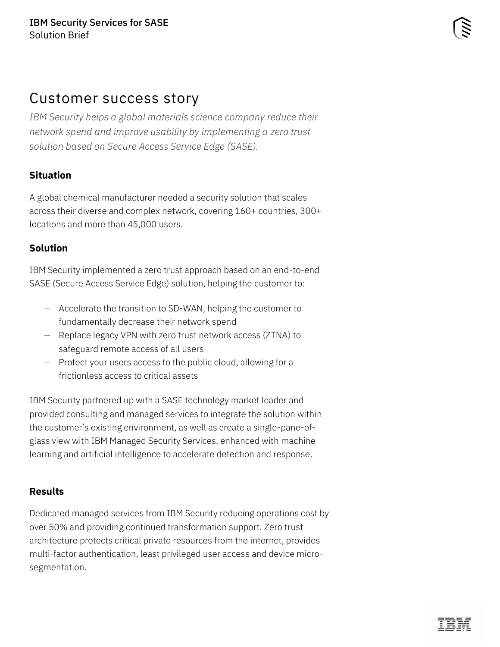# Customer success story

*IBM Security helps a global materials science company reduce their network spend and improve usability by implementing a zero trust solution based on Secure Access Service Edge (SASE).*

## **Situation**

A global chemical manufacturer needed a security solution that scales across their diverse and complex network, covering 160+ countries, 300+ locations and more than 45,000 users.

## **Solution**

IBM Security implemented a zero trust approach based on an end-to-end SASE (Secure Access Service Edge) solution, helping the customer to:

- Accelerate the transition to SD-WAN, helping the customer to fundamentally decrease their network spend
- Replace legacy VPN with zero trust network access (ZTNA) to safeguard remote access of all users
- Protect your users access to the public cloud, allowing for a frictionless access to critical assets

IBM Security partnered up with a SASE technology market leader and provided consulting and managed services to integrate the solution within the customer's existing environment, as well as create a single-pane-ofglass view with IBM Managed Security Services, enhanced with machine learning and artificial intelligence to accelerate detection and response.

## **Results**

Dedicated managed services from IBM Security reducing operations cost by over 50% and providing continued transformation support. Zero trust architecture protects critical private resources from the internet, provides multi-factor authentication, least privileged user access and device microsegmentation.